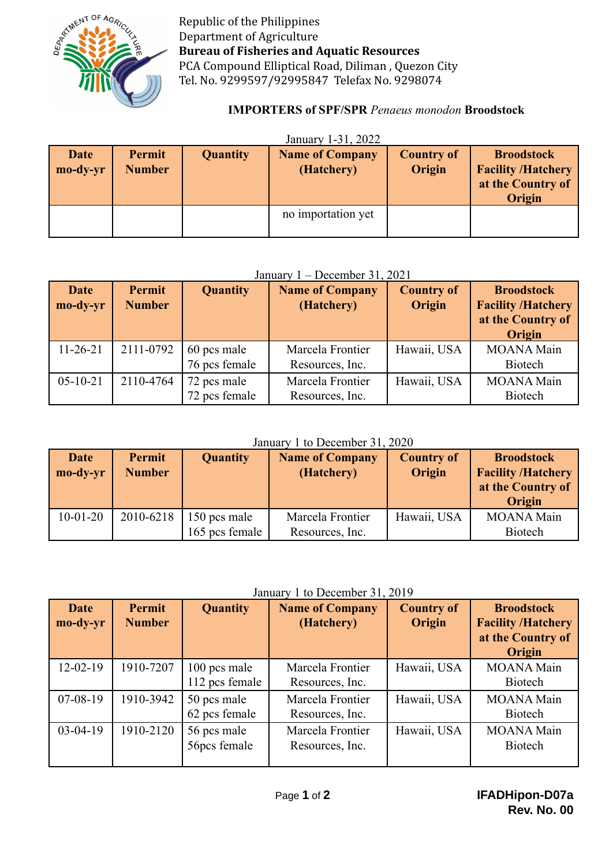

Republic of the Philippines Department of Agriculture **Bureau of Fisheries and Aquatic Resources** PCA Compound Elliptical Road, Diliman , Quezon City Tel. No. 9299597/92995847 Telefax No. 9298074

## **IMPORTERS of SPF/SPR** *Penaeus monodon* **Broodstock**

| January 1-31, 2022 |  |  |
|--------------------|--|--|
|--------------------|--|--|

| <b>Date</b><br>mo-dy-yr | Permit<br><b>Number</b> | <b>Quantity</b> | <b>Name of Company</b><br>(Hatchery) | <b>Country of</b><br>Origin | <b>Broodstock</b><br><b>Facility /Hatchery</b><br>at the Country of<br><b>Origin</b> |
|-------------------------|-------------------------|-----------------|--------------------------------------|-----------------------------|--------------------------------------------------------------------------------------|
|                         |                         |                 | no importation yet                   |                             |                                                                                      |

#### January 1 – December 31, 2021

| <b>Date</b><br>mo-dy-yr | Permit<br><b>Number</b> | <b>Quantity</b>              | <b>Name of Company</b><br>(Hatchery) | <b>Country of</b><br>Origin | <b>Broodstock</b><br><b>Facility /Hatchery</b><br>at the Country of<br>Origin |
|-------------------------|-------------------------|------------------------------|--------------------------------------|-----------------------------|-------------------------------------------------------------------------------|
| $11 - 26 - 21$          | 2111-0792               | 60 pcs male<br>76 pcs female | Marcela Frontier<br>Resources, Inc.  | Hawaii, USA                 | <b>MOANA Main</b><br><b>Biotech</b>                                           |
| $05 - 10 - 21$          | 2110-4764               | 72 pcs male<br>72 pcs female | Marcela Frontier<br>Resources, Inc.  | Hawaii, USA                 | <b>MOANA</b> Main<br><b>Biotech</b>                                           |

#### January 1 to December 31, 2020

| <b>Date</b><br>mo-dy-yr | Permit<br><b>Number</b> | <b>Quantity</b>                | <b>Name of Company</b><br>(Hatchery) | <b>Country of</b><br>Origin | <b>Broodstock</b><br><b>Facility /Hatchery</b> |
|-------------------------|-------------------------|--------------------------------|--------------------------------------|-----------------------------|------------------------------------------------|
|                         |                         |                                |                                      |                             | at the Country of<br>Origin                    |
| $10-01-20$              | 2010-6218               | 150 pcs male<br>165 pcs female | Marcela Frontier<br>Resources, Inc.  | Hawaii, USA                 | <b>MOANA Main</b><br><b>Biotech</b>            |

## January 1 to December 31, 2019

| <b>Date</b><br>mo-dy-yr | Permit<br><b>Number</b> | <b>Quantity</b>                | <b>Name of Company</b><br>(Hatchery) | <b>Country of</b><br>Origin | <b>Broodstock</b><br><b>Facility /Hatchery</b><br>at the Country of<br>Origin |
|-------------------------|-------------------------|--------------------------------|--------------------------------------|-----------------------------|-------------------------------------------------------------------------------|
| $12 - 02 - 19$          | 1910-7207               | 100 pcs male<br>112 pcs female | Marcela Frontier<br>Resources, Inc.  | Hawaii, USA                 | <b>MOANA</b> Main<br><b>Biotech</b>                                           |
| $07 - 08 - 19$          | 1910-3942               | 50 pcs male<br>62 pcs female   | Marcela Frontier<br>Resources, Inc.  | Hawaii, USA                 | <b>MOANA</b> Main<br><b>Biotech</b>                                           |
| $03-04-19$              | 1910-2120               | 56 pcs male<br>56pcs female    | Marcela Frontier<br>Resources, Inc.  | Hawaii, USA                 | <b>MOANA</b> Main<br><b>Biotech</b>                                           |